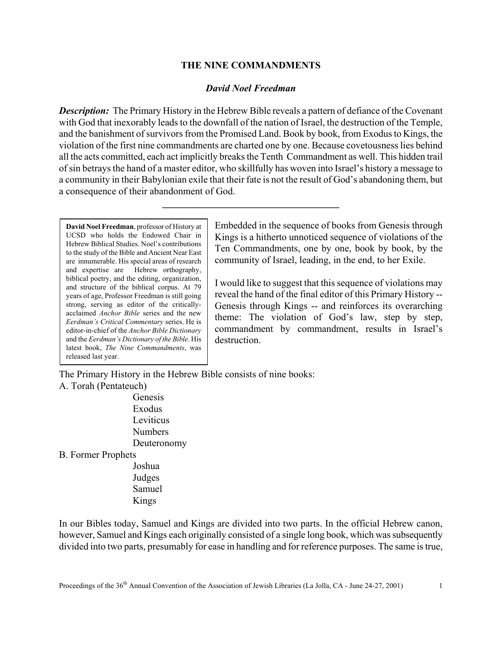### **THE NINE COMMANDMENTS**

#### *David Noel Freedman*

*Description:* The Primary History in the Hebrew Bible reveals a pattern of defiance of the Covenant with God that inexorably leads to the downfall of the nation of Israel, the destruction of the Temple, and the banishment of survivors from the Promised Land. Book by book, from Exodus to Kings, the violation of the first nine commandments are charted one by one. Because covetousness lies behind all the acts committed, each act implicitly breaks the Tenth Commandment as well. This hidden trail of sin betrays the hand of a master editor, who skillfully has woven into Israel's history a message to a community in their Babylonian exile that their fate is not the result of God's abandoning them, but a consequence of their abandonment of God.

**\_\_\_\_\_\_\_\_\_\_\_\_\_\_\_\_\_\_\_\_\_\_\_\_\_\_\_\_\_\_\_\_\_\_\_\_**

**David Noel Freedman**, professor of History at UCSD who holds the Endowed Chair in Hebrew Biblical Studies. Noel's contributions to the study of the Bible and Ancient Near East are innumerable. His special areas of research and expertise are Hebrew orthography, biblical poetry, and the editing, organization, and structure of the biblical corpus. At 79 years of age, Professor Freedman is still going strong, serving as editor of the criticallyacclaimed *Anchor Bible* series and the new *Eerdman's Critical Commentary* series. He is editor-in-chief of the *Anchor Bible Dictionary* and the *Eerdman's Dictionary of the Bible*. His latest book, *The Nine Commandments*, was released last year.

Embedded in the sequence of books from Genesis through Kings is a hitherto unnoticed sequence of violations of the Ten Commandments, one by one, book by book, by the community of Israel, leading, in the end, to her Exile.

I would like to suggest that this sequence of violations may reveal the hand of the final editor of this Primary History -- Genesis through Kings -- and reinforces its overarching theme: The violation of God's law, step by step, commandment by commandment, results in Israel's destruction.

The Primary History in the Hebrew Bible consists of nine books:

A. Torah (Pentateuch)

Genesis Exodus Leviticus Numbers Deuteronomy

B. Former Prophets

Joshua Judges Samuel Kings

In our Bibles today, Samuel and Kings are divided into two parts. In the official Hebrew canon, however, Samuel and Kings each originally consisted of a single long book, which was subsequently divided into two parts, presumably for ease in handling and for reference purposes. The same is true,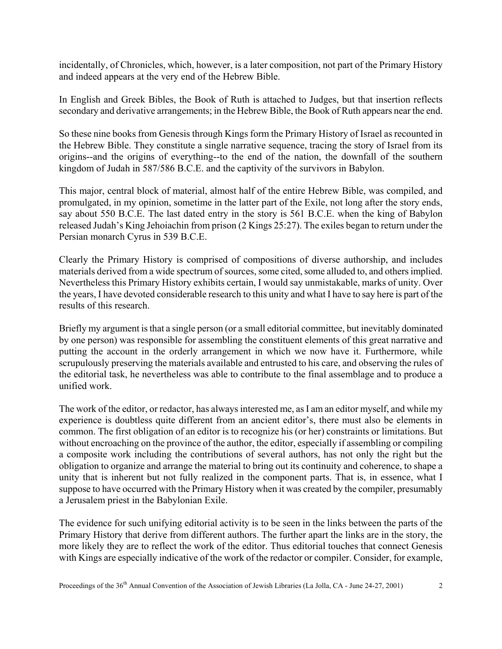incidentally, of Chronicles, which, however, is a later composition, not part of the Primary History and indeed appears at the very end of the Hebrew Bible.

In English and Greek Bibles, the Book of Ruth is attached to Judges, but that insertion reflects secondary and derivative arrangements; in the Hebrew Bible, the Book of Ruth appears near the end.

So these nine books from Genesis through Kings form the Primary History of Israel as recounted in the Hebrew Bible. They constitute a single narrative sequence, tracing the story of Israel from its origins--and the origins of everything--to the end of the nation, the downfall of the southern kingdom of Judah in 587/586 B.C.E. and the captivity of the survivors in Babylon.

This major, central block of material, almost half of the entire Hebrew Bible, was compiled, and promulgated, in my opinion, sometime in the latter part of the Exile, not long after the story ends, say about 550 B.C.E. The last dated entry in the story is 561 B.C.E. when the king of Babylon released Judah's King Jehoiachin from prison (2 Kings 25:27). The exiles began to return under the Persian monarch Cyrus in 539 B.C.E.

Clearly the Primary History is comprised of compositions of diverse authorship, and includes materials derived from a wide spectrum of sources, some cited, some alluded to, and others implied. Nevertheless this Primary History exhibits certain, I would say unmistakable, marks of unity. Over the years, I have devoted considerable research to this unity and what I have to say here is part of the results of this research.

Briefly my argument is that a single person (or a small editorial committee, but inevitably dominated by one person) was responsible for assembling the constituent elements of this great narrative and putting the account in the orderly arrangement in which we now have it. Furthermore, while scrupulously preserving the materials available and entrusted to his care, and observing the rules of the editorial task, he nevertheless was able to contribute to the final assemblage and to produce a unified work.

The work of the editor, or redactor, has always interested me, as I am an editor myself, and while my experience is doubtless quite different from an ancient editor's, there must also be elements in common. The first obligation of an editor is to recognize his (or her) constraints or limitations. But without encroaching on the province of the author, the editor, especially if assembling or compiling a composite work including the contributions of several authors, has not only the right but the obligation to organize and arrange the material to bring out its continuity and coherence, to shape a unity that is inherent but not fully realized in the component parts. That is, in essence, what I suppose to have occurred with the Primary History when it was created by the compiler, presumably a Jerusalem priest in the Babylonian Exile.

The evidence for such unifying editorial activity is to be seen in the links between the parts of the Primary History that derive from different authors. The further apart the links are in the story, the more likely they are to reflect the work of the editor. Thus editorial touches that connect Genesis with Kings are especially indicative of the work of the redactor or compiler. Consider, for example,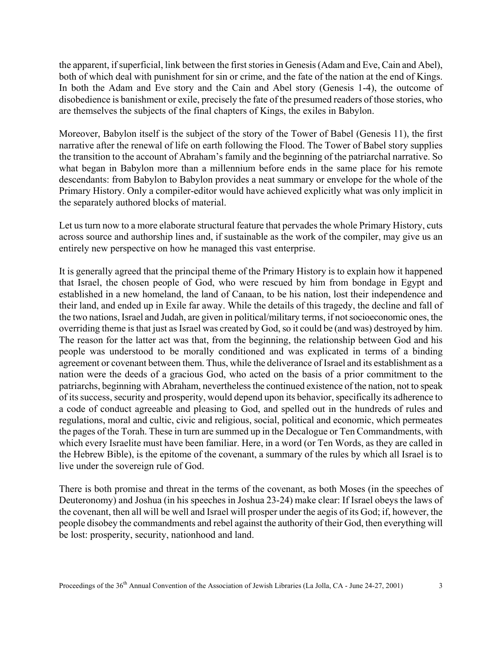the apparent, if superficial, link between the first stories in Genesis (Adam and Eve, Cain and Abel), both of which deal with punishment for sin or crime, and the fate of the nation at the end of Kings. In both the Adam and Eve story and the Cain and Abel story (Genesis 1-4), the outcome of disobedience is banishment or exile, precisely the fate of the presumed readers of those stories, who are themselves the subjects of the final chapters of Kings, the exiles in Babylon.

Moreover, Babylon itself is the subject of the story of the Tower of Babel (Genesis 11), the first narrative after the renewal of life on earth following the Flood. The Tower of Babel story supplies the transition to the account of Abraham's family and the beginning of the patriarchal narrative. So what began in Babylon more than a millennium before ends in the same place for his remote descendants: from Babylon to Babylon provides a neat summary or envelope for the whole of the Primary History. Only a compiler-editor would have achieved explicitly what was only implicit in the separately authored blocks of material.

Let us turn now to a more elaborate structural feature that pervades the whole Primary History, cuts across source and authorship lines and, if sustainable as the work of the compiler, may give us an entirely new perspective on how he managed this vast enterprise.

It is generally agreed that the principal theme of the Primary History is to explain how it happened that Israel, the chosen people of God, who were rescued by him from bondage in Egypt and established in a new homeland, the land of Canaan, to be his nation, lost their independence and their land, and ended up in Exile far away. While the details of this tragedy, the decline and fall of the two nations, Israel and Judah, are given in political/military terms, if not socioeconomic ones, the overriding theme is that just as Israel was created by God, so it could be (and was) destroyed by him. The reason for the latter act was that, from the beginning, the relationship between God and his people was understood to be morally conditioned and was explicated in terms of a binding agreement or covenant between them. Thus, while the deliverance of Israel and its establishment as a nation were the deeds of a gracious God, who acted on the basis of a prior commitment to the patriarchs, beginning with Abraham, nevertheless the continued existence of the nation, not to speak of its success, security and prosperity, would depend upon its behavior, specifically its adherence to a code of conduct agreeable and pleasing to God, and spelled out in the hundreds of rules and regulations, moral and cultic, civic and religious, social, political and economic, which permeates the pages of the Torah. These in turn are summed up in the Decalogue or Ten Commandments, with which every Israelite must have been familiar. Here, in a word (or Ten Words, as they are called in the Hebrew Bible), is the epitome of the covenant, a summary of the rules by which all Israel is to live under the sovereign rule of God.

There is both promise and threat in the terms of the covenant, as both Moses (in the speeches of Deuteronomy) and Joshua (in his speeches in Joshua 23-24) make clear: If Israel obeys the laws of the covenant, then all will be well and Israel will prosper under the aegis of its God; if, however, the people disobey the commandments and rebel against the authority of their God, then everything will be lost: prosperity, security, nationhood and land.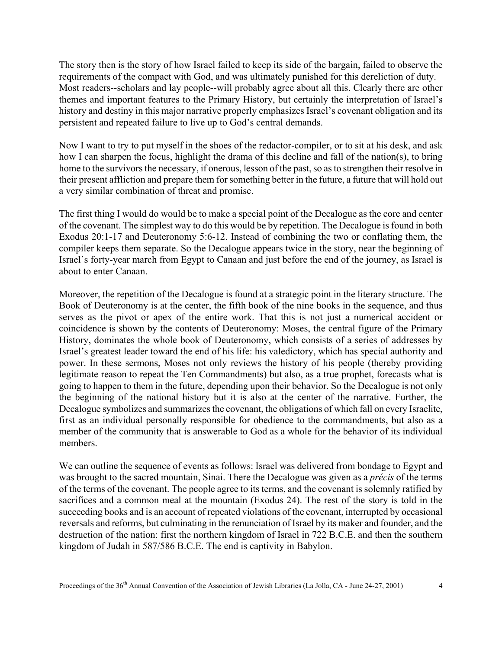The story then is the story of how Israel failed to keep its side of the bargain, failed to observe the requirements of the compact with God, and was ultimately punished for this dereliction of duty. Most readers--scholars and lay people--will probably agree about all this. Clearly there are other themes and important features to the Primary History, but certainly the interpretation of Israel's history and destiny in this major narrative properly emphasizes Israel's covenant obligation and its persistent and repeated failure to live up to God's central demands.

Now I want to try to put myself in the shoes of the redactor-compiler, or to sit at his desk, and ask how I can sharpen the focus, highlight the drama of this decline and fall of the nation(s), to bring home to the survivors the necessary, if onerous, lesson of the past, so as to strengthen their resolve in their present affliction and prepare them for something better in the future, a future that will hold out a very similar combination of threat and promise.

The first thing I would do would be to make a special point of the Decalogue as the core and center of the covenant. The simplest way to do this would be by repetition. The Decalogue is found in both Exodus 20:1-17 and Deuteronomy 5:6-12. Instead of combining the two or conflating them, the compiler keeps them separate. So the Decalogue appears twice in the story, near the beginning of Israel's forty-year march from Egypt to Canaan and just before the end of the journey, as Israel is about to enter Canaan.

Moreover, the repetition of the Decalogue is found at a strategic point in the literary structure. The Book of Deuteronomy is at the center, the fifth book of the nine books in the sequence, and thus serves as the pivot or apex of the entire work. That this is not just a numerical accident or coincidence is shown by the contents of Deuteronomy: Moses, the central figure of the Primary History, dominates the whole book of Deuteronomy, which consists of a series of addresses by Israel's greatest leader toward the end of his life: his valedictory, which has special authority and power. In these sermons, Moses not only reviews the history of his people (thereby providing legitimate reason to repeat the Ten Commandments) but also, as a true prophet, forecasts what is going to happen to them in the future, depending upon their behavior. So the Decalogue is not only the beginning of the national history but it is also at the center of the narrative. Further, the Decalogue symbolizes and summarizes the covenant, the obligations of which fall on every Israelite, first as an individual personally responsible for obedience to the commandments, but also as a member of the community that is answerable to God as a whole for the behavior of its individual members.

We can outline the sequence of events as follows: Israel was delivered from bondage to Egypt and was brought to the sacred mountain, Sinai. There the Decalogue was given as a *précis* of the terms of the terms of the covenant. The people agree to its terms, and the covenant is solemnly ratified by sacrifices and a common meal at the mountain (Exodus 24). The rest of the story is told in the succeeding books and is an account of repeated violations of the covenant, interrupted by occasional reversals and reforms, but culminating in the renunciation of Israel by its maker and founder, and the destruction of the nation: first the northern kingdom of Israel in 722 B.C.E. and then the southern kingdom of Judah in 587/586 B.C.E. The end is captivity in Babylon.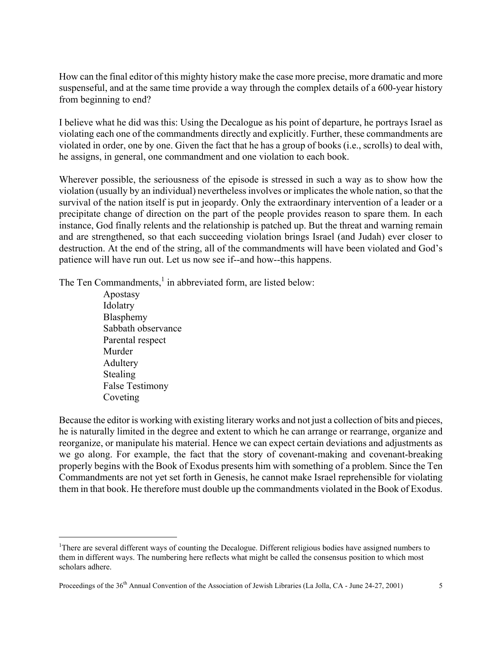How can the final editor of this mighty history make the case more precise, more dramatic and more suspenseful, and at the same time provide a way through the complex details of a 600-year history from beginning to end?

I believe what he did was this: Using the Decalogue as his point of departure, he portrays Israel as violating each one of the commandments directly and explicitly. Further, these commandments are violated in order, one by one. Given the fact that he has a group of books (i.e., scrolls) to deal with, he assigns, in general, one commandment and one violation to each book.

Wherever possible, the seriousness of the episode is stressed in such a way as to show how the violation (usually by an individual) nevertheless involves or implicates the whole nation, so that the survival of the nation itself is put in jeopardy. Only the extraordinary intervention of a leader or a precipitate change of direction on the part of the people provides reason to spare them. In each instance, God finally relents and the relationship is patched up. But the threat and warning remain and are strengthened, so that each succeeding violation brings Israel (and Judah) ever closer to destruction. At the end of the string, all of the commandments will have been violated and God's patience will have run out. Let us now see if--and how--this happens.

The Ten Commandments, $<sup>1</sup>$  in abbreviated form, are listed below:</sup>

Apostasy Idolatry Blasphemy Sabbath observance Parental respect Murder Adultery Stealing False Testimony Coveting

-

Because the editor is working with existing literary works and not just a collection of bits and pieces, he is naturally limited in the degree and extent to which he can arrange or rearrange, organize and reorganize, or manipulate his material. Hence we can expect certain deviations and adjustments as we go along. For example, the fact that the story of covenant-making and covenant-breaking properly begins with the Book of Exodus presents him with something of a problem. Since the Ten Commandments are not yet set forth in Genesis, he cannot make Israel reprehensible for violating them in that book. He therefore must double up the commandments violated in the Book of Exodus.

<sup>&</sup>lt;sup>1</sup>There are several different ways of counting the Decalogue. Different religious bodies have assigned numbers to them in different ways. The numbering here reflects what might be called the consensus position to which most scholars adhere.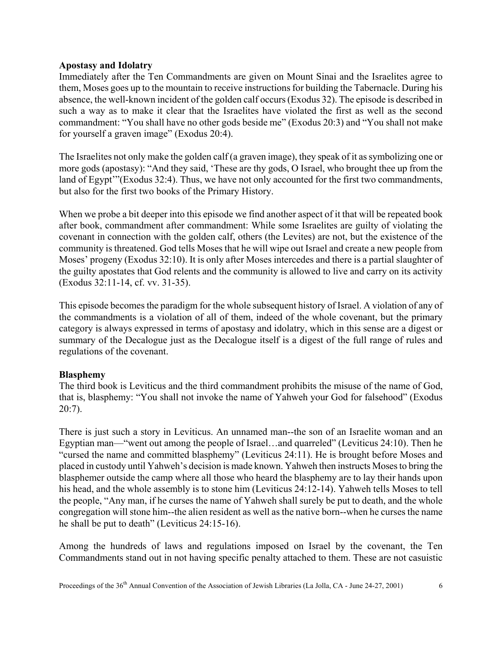## **Apostasy and Idolatry**

Immediately after the Ten Commandments are given on Mount Sinai and the Israelites agree to them, Moses goes up to the mountain to receive instructions for building the Tabernacle. During his absence, the well-known incident of the golden calf occurs (Exodus 32). The episode is described in such a way as to make it clear that the Israelites have violated the first as well as the second commandment: "You shall have no other gods beside me" (Exodus 20:3) and "You shall not make for yourself a graven image" (Exodus 20:4).

The Israelites not only make the golden calf (a graven image), they speak of it as symbolizing one or more gods (apostasy): "And they said, 'These are thy gods, O Israel, who brought thee up from the land of Egypt'"(Exodus 32:4). Thus, we have not only accounted for the first two commandments, but also for the first two books of the Primary History.

When we probe a bit deeper into this episode we find another aspect of it that will be repeated book after book, commandment after commandment: While some Israelites are guilty of violating the covenant in connection with the golden calf, others (the Levites) are not, but the existence of the community is threatened. God tells Moses that he will wipe out Israel and create a new people from Moses' progeny (Exodus 32:10). It is only after Moses intercedes and there is a partial slaughter of the guilty apostates that God relents and the community is allowed to live and carry on its activity (Exodus 32:11-14, cf. vv. 31-35).

This episode becomes the paradigm for the whole subsequent history of Israel. A violation of any of the commandments is a violation of all of them, indeed of the whole covenant, but the primary category is always expressed in terms of apostasy and idolatry, which in this sense are a digest or summary of the Decalogue just as the Decalogue itself is a digest of the full range of rules and regulations of the covenant.

# **Blasphemy**

The third book is Leviticus and the third commandment prohibits the misuse of the name of God, that is, blasphemy: "You shall not invoke the name of Yahweh your God for falsehood" (Exodus  $20:7$ ).

There is just such a story in Leviticus. An unnamed man--the son of an Israelite woman and an Egyptian man—"went out among the people of Israel…and quarreled" (Leviticus 24:10). Then he "cursed the name and committed blasphemy" (Leviticus 24:11). He is brought before Moses and placed in custody until Yahweh's decision is made known. Yahweh then instructs Moses to bring the blasphemer outside the camp where all those who heard the blasphemy are to lay their hands upon his head, and the whole assembly is to stone him (Leviticus 24:12-14). Yahweh tells Moses to tell the people, "Any man, if he curses the name of Yahweh shall surely be put to death, and the whole congregation will stone him--the alien resident as well as the native born--when he curses the name he shall be put to death" (Leviticus 24:15-16).

Among the hundreds of laws and regulations imposed on Israel by the covenant, the Ten Commandments stand out in not having specific penalty attached to them. These are not casuistic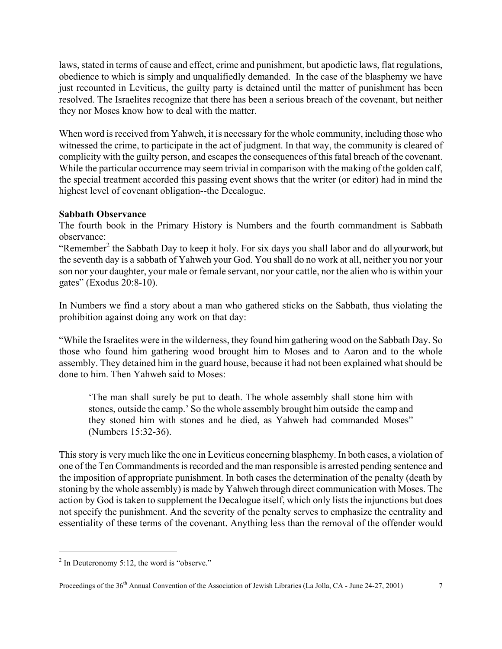laws, stated in terms of cause and effect, crime and punishment, but apodictic laws, flat regulations, obedience to which is simply and unqualifiedly demanded. In the case of the blasphemy we have just recounted in Leviticus, the guilty party is detained until the matter of punishment has been resolved. The Israelites recognize that there has been a serious breach of the covenant, but neither they nor Moses know how to deal with the matter.

When word is received from Yahweh, it is necessary for the whole community, including those who witnessed the crime, to participate in the act of judgment. In that way, the community is cleared of complicity with the guilty person, and escapes the consequences of this fatal breach of the covenant. While the particular occurrence may seem trivial in comparison with the making of the golden calf, the special treatment accorded this passing event shows that the writer (or editor) had in mind the highest level of covenant obligation--the Decalogue.

## **Sabbath Observance**

The fourth book in the Primary History is Numbers and the fourth commandment is Sabbath observance:

"Remember<sup>2</sup> the Sabbath Day to keep it holy. For six days you shall labor and do all your work, but the seventh day is a sabbath of Yahweh your God. You shall do no work at all, neither you nor your son nor your daughter, your male or female servant, nor your cattle, nor the alien who is within your gates" (Exodus 20:8-10).

In Numbers we find a story about a man who gathered sticks on the Sabbath, thus violating the prohibition against doing any work on that day:

"While the Israelites were in the wilderness, they found him gathering wood on the Sabbath Day. So those who found him gathering wood brought him to Moses and to Aaron and to the whole assembly. They detained him in the guard house, because it had not been explained what should be done to him. Then Yahweh said to Moses:

'The man shall surely be put to death. The whole assembly shall stone him with stones, outside the camp.' So the whole assembly brought him outside the camp and they stoned him with stones and he died, as Yahweh had commanded Moses" (Numbers 15:32-36).

This story is very much like the one in Leviticus concerning blasphemy. In both cases, a violation of one of the Ten Commandments is recorded and the man responsible is arrested pending sentence and the imposition of appropriate punishment. In both cases the determination of the penalty (death by stoning by the whole assembly) is made by Yahweh through direct communication with Moses. The action by God is taken to supplement the Decalogue itself, which only lists the injunctions but does not specify the punishment. And the severity of the penalty serves to emphasize the centrality and essentiality of these terms of the covenant. Anything less than the removal of the offender would

-

 $2^2$  In Deuteronomy 5:12, the word is "observe."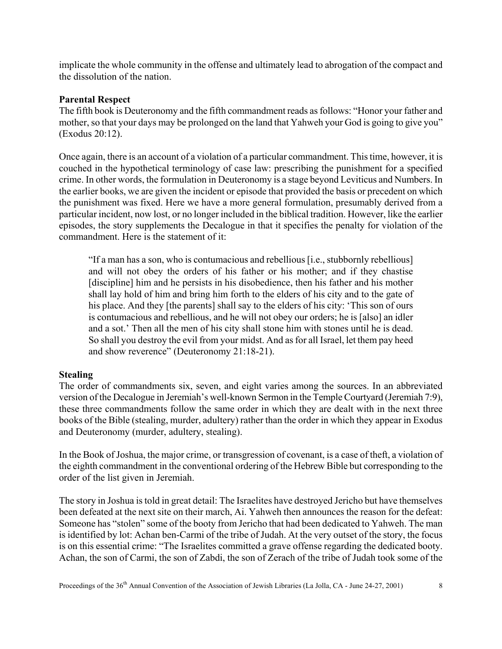implicate the whole community in the offense and ultimately lead to abrogation of the compact and the dissolution of the nation.

## **Parental Respect**

The fifth book is Deuteronomy and the fifth commandment reads as follows: "Honor your father and mother, so that your days may be prolonged on the land that Yahweh your God is going to give you" (Exodus 20:12).

Once again, there is an account of a violation of a particular commandment. This time, however, it is couched in the hypothetical terminology of case law: prescribing the punishment for a specified crime. In other words, the formulation in Deuteronomy is a stage beyond Leviticus and Numbers. In the earlier books, we are given the incident or episode that provided the basis or precedent on which the punishment was fixed. Here we have a more general formulation, presumably derived from a particular incident, now lost, or no longer included in the biblical tradition. However, like the earlier episodes, the story supplements the Decalogue in that it specifies the penalty for violation of the commandment. Here is the statement of it:

"If a man has a son, who is contumacious and rebellious [i.e., stubbornly rebellious] and will not obey the orders of his father or his mother; and if they chastise [discipline] him and he persists in his disobedience, then his father and his mother shall lay hold of him and bring him forth to the elders of his city and to the gate of his place. And they [the parents] shall say to the elders of his city: 'This son of ours is contumacious and rebellious, and he will not obey our orders; he is [also] an idler and a sot.' Then all the men of his city shall stone him with stones until he is dead. So shall you destroy the evil from your midst. And as for all Israel, let them pay heed and show reverence" (Deuteronomy 21:18-21).

### **Stealing**

The order of commandments six, seven, and eight varies among the sources. In an abbreviated version of the Decalogue in Jeremiah's well-known Sermon in the Temple Courtyard (Jeremiah 7:9), these three commandments follow the same order in which they are dealt with in the next three books of the Bible (stealing, murder, adultery) rather than the order in which they appear in Exodus and Deuteronomy (murder, adultery, stealing).

In the Book of Joshua, the major crime, or transgression of covenant, is a case of theft, a violation of the eighth commandment in the conventional ordering of the Hebrew Bible but corresponding to the order of the list given in Jeremiah.

The story in Joshua is told in great detail: The Israelites have destroyed Jericho but have themselves been defeated at the next site on their march, Ai. Yahweh then announces the reason for the defeat: Someone has "stolen" some of the booty from Jericho that had been dedicated to Yahweh. The man is identified by lot: Achan ben-Carmi of the tribe of Judah. At the very outset of the story, the focus is on this essential crime: "The Israelites committed a grave offense regarding the dedicated booty. Achan, the son of Carmi, the son of Zabdi, the son of Zerach of the tribe of Judah took some of the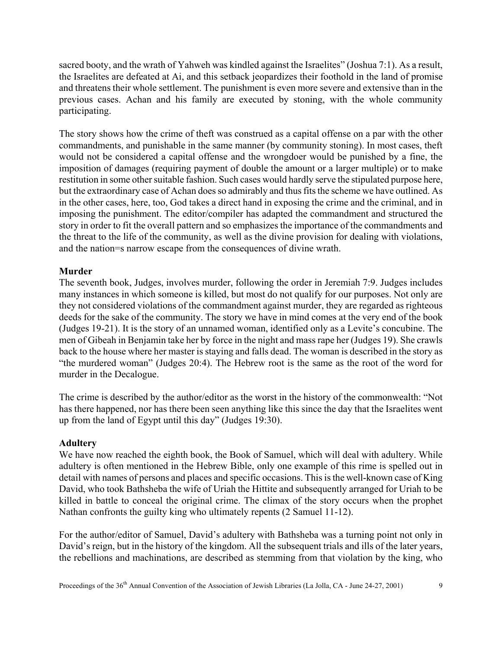sacred booty, and the wrath of Yahweh was kindled against the Israelites" (Joshua 7:1). As a result, the Israelites are defeated at Ai, and this setback jeopardizes their foothold in the land of promise and threatens their whole settlement. The punishment is even more severe and extensive than in the previous cases. Achan and his family are executed by stoning, with the whole community participating.

The story shows how the crime of theft was construed as a capital offense on a par with the other commandments, and punishable in the same manner (by community stoning). In most cases, theft would not be considered a capital offense and the wrongdoer would be punished by a fine, the imposition of damages (requiring payment of double the amount or a larger multiple) or to make restitution in some other suitable fashion. Such cases would hardly serve the stipulated purpose here, but the extraordinary case of Achan does so admirably and thus fits the scheme we have outlined. As in the other cases, here, too, God takes a direct hand in exposing the crime and the criminal, and in imposing the punishment. The editor/compiler has adapted the commandment and structured the story in order to fit the overall pattern and so emphasizes the importance of the commandments and the threat to the life of the community, as well as the divine provision for dealing with violations, and the nation=s narrow escape from the consequences of divine wrath.

### **Murder**

The seventh book, Judges, involves murder, following the order in Jeremiah 7:9. Judges includes many instances in which someone is killed, but most do not qualify for our purposes. Not only are they not considered violations of the commandment against murder, they are regarded as righteous deeds for the sake of the community. The story we have in mind comes at the very end of the book (Judges 19-21). It is the story of an unnamed woman, identified only as a Levite's concubine. The men of Gibeah in Benjamin take her by force in the night and mass rape her (Judges 19). She crawls back to the house where her master is staying and falls dead. The woman is described in the story as "the murdered woman" (Judges 20:4). The Hebrew root is the same as the root of the word for murder in the Decalogue.

The crime is described by the author/editor as the worst in the history of the commonwealth: "Not has there happened, nor has there been seen anything like this since the day that the Israelites went up from the land of Egypt until this day" (Judges 19:30).

# **Adultery**

We have now reached the eighth book, the Book of Samuel, which will deal with adultery. While adultery is often mentioned in the Hebrew Bible, only one example of this rime is spelled out in detail with names of persons and places and specific occasions. This is the well-known case of King David, who took Bathsheba the wife of Uriah the Hittite and subsequently arranged for Uriah to be killed in battle to conceal the original crime. The climax of the story occurs when the prophet Nathan confronts the guilty king who ultimately repents (2 Samuel 11-12).

For the author/editor of Samuel, David's adultery with Bathsheba was a turning point not only in David's reign, but in the history of the kingdom. All the subsequent trials and ills of the later years, the rebellions and machinations, are described as stemming from that violation by the king, who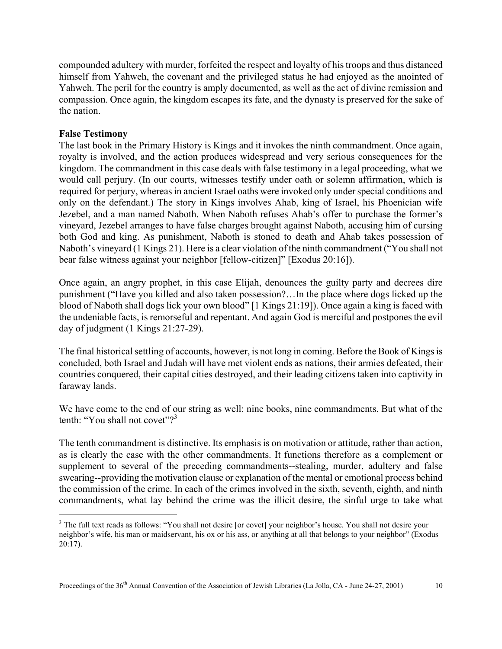compounded adultery with murder, forfeited the respect and loyalty of his troops and thus distanced himself from Yahweh, the covenant and the privileged status he had enjoyed as the anointed of Yahweh. The peril for the country is amply documented, as well as the act of divine remission and compassion. Once again, the kingdom escapes its fate, and the dynasty is preserved for the sake of the nation.

## **False Testimony**

 $\overline{a}$ 

The last book in the Primary History is Kings and it invokes the ninth commandment. Once again, royalty is involved, and the action produces widespread and very serious consequences for the kingdom. The commandment in this case deals with false testimony in a legal proceeding, what we would call perjury. (In our courts, witnesses testify under oath or solemn affirmation, which is required for perjury, whereas in ancient Israel oaths were invoked only under special conditions and only on the defendant.) The story in Kings involves Ahab, king of Israel, his Phoenician wife Jezebel, and a man named Naboth. When Naboth refuses Ahab's offer to purchase the former's vineyard, Jezebel arranges to have false charges brought against Naboth, accusing him of cursing both God and king. As punishment, Naboth is stoned to death and Ahab takes possession of Naboth's vineyard (1 Kings 21). Here is a clear violation of the ninth commandment ("You shall not bear false witness against your neighbor [fellow-citizen]" [Exodus 20:16]).

Once again, an angry prophet, in this case Elijah, denounces the guilty party and decrees dire punishment ("Have you killed and also taken possession?…In the place where dogs licked up the blood of Naboth shall dogs lick your own blood" [1 Kings 21:19]). Once again a king is faced with the undeniable facts, is remorseful and repentant. And again God is merciful and postpones the evil day of judgment (1 Kings 21:27-29).

The final historical settling of accounts, however, is not long in coming. Before the Book of Kings is concluded, both Israel and Judah will have met violent ends as nations, their armies defeated, their countries conquered, their capital cities destroyed, and their leading citizens taken into captivity in faraway lands.

We have come to the end of our string as well: nine books, nine commandments. But what of the tenth: "You shall not covet"? $3^3$ 

The tenth commandment is distinctive. Its emphasis is on motivation or attitude, rather than action, as is clearly the case with the other commandments. It functions therefore as a complement or supplement to several of the preceding commandments--stealing, murder, adultery and false swearing--providing the motivation clause or explanation of the mental or emotional process behind the commission of the crime. In each of the crimes involved in the sixth, seventh, eighth, and ninth commandments, what lay behind the crime was the illicit desire, the sinful urge to take what

<sup>&</sup>lt;sup>3</sup> The full text reads as follows: "You shall not desire [or covet] your neighbor's house. You shall not desire your neighbor's wife, his man or maidservant, his ox or his ass, or anything at all that belongs to your neighbor" (Exodus 20:17).